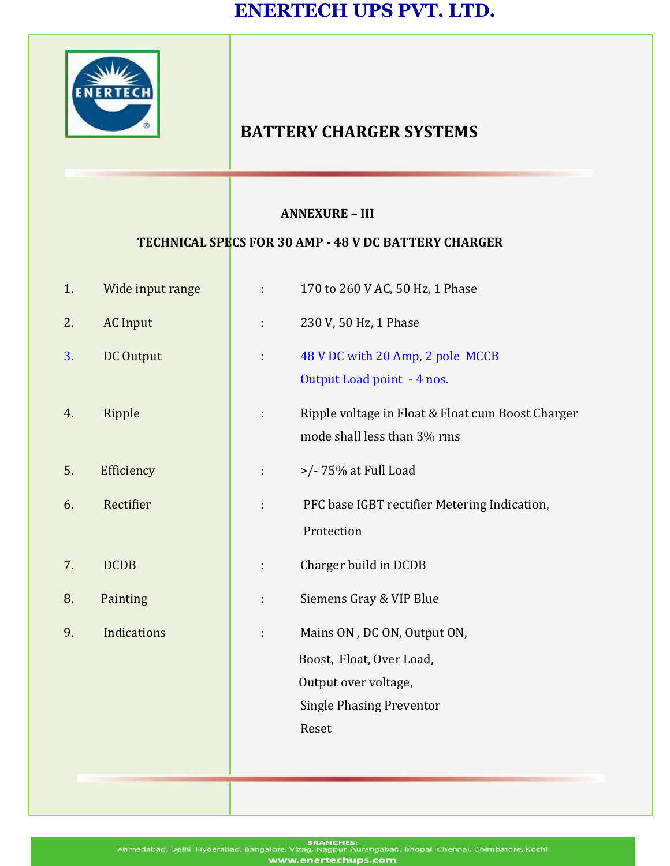

## **BATTERY CHARGER SYSTEMS**

## **ANNEXURE – III**

## **TECHNICAL SPECS FOR 30 AMP - 48 V DC BATTERY CHARGER**

| 1. | Wide input range |    | 170 to 260 V AC, 50 Hz, 1 Phase                                                                                             |
|----|------------------|----|-----------------------------------------------------------------------------------------------------------------------------|
| 2. | <b>AC</b> Input  | ÷  | 230 V, 50 Hz, 1 Phase                                                                                                       |
| 3. | DC Output        | t, | 48 V DC with 20 Amp, 2 pole MCCB<br>Output Load point - 4 nos.                                                              |
| 4. | Ripple           | ÷  | Ripple voltage in Float & Float cum Boost Charger<br>mode shall less than 3% rms                                            |
| 5. | Efficiency       | t. | >/- 75% at Full Load                                                                                                        |
| 6. | Rectifier        | ÷  | PFC base IGBT rectifier Metering Indication,<br>Protection                                                                  |
| 7. | <b>DCDB</b>      | ÷  | Charger build in DCDB                                                                                                       |
| 8. | Painting         |    | Siemens Gray & VIP Blue                                                                                                     |
| 9. | Indications      |    | Mains ON, DC ON, Output ON,<br>Boost, Float, Over Load,<br>Output over voltage,<br><b>Single Phasing Preventor</b><br>Reset |
|    |                  |    |                                                                                                                             |

BRANCHES:<br>Ahmedabad, Delhi, Hyderabad, Bangalore, Vizag, Nagpur, Aurangabad, Bhopal, Chennai, Coimbatore, Kochi techups.com enert